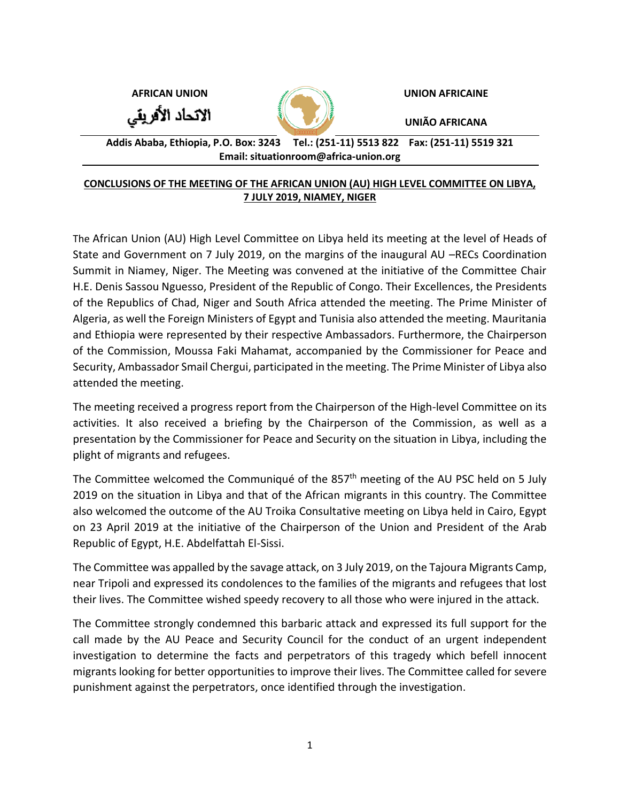**AFRICAN UNION UNION AFRICAINE**





**UNIÃO AFRICANA**

**Addis Ababa, Ethiopia, P.O. Box: 3243 Tel.: (251-11) 5513 822 Fax: (251-11) 5519 321 Email: situationroom@africa-union.org**

## **CONCLUSIONS OF THE MEETING OF THE AFRICAN UNION (AU) HIGH LEVEL COMMITTEE ON LIBYA, 7 JULY 2019, NIAMEY, NIGER**

The African Union (AU) High Level Committee on Libya held its meeting at the level of Heads of State and Government on 7 July 2019, on the margins of the inaugural AU –RECs Coordination Summit in Niamey, Niger. The Meeting was convened at the initiative of the Committee Chair H.E. Denis Sassou Nguesso, President of the Republic of Congo. Their Excellences, the Presidents of the Republics of Chad, Niger and South Africa attended the meeting. The Prime Minister of Algeria, as well the Foreign Ministers of Egypt and Tunisia also attended the meeting. Mauritania and Ethiopia were represented by their respective Ambassadors. Furthermore, the Chairperson of the Commission, Moussa Faki Mahamat, accompanied by the Commissioner for Peace and Security, Ambassador Smail Chergui, participated in the meeting. The Prime Minister of Libya also attended the meeting.

The meeting received a progress report from the Chairperson of the High-level Committee on its activities. It also received a briefing by the Chairperson of the Commission, as well as a presentation by the Commissioner for Peace and Security on the situation in Libya, including the plight of migrants and refugees.

The Committee welcomed the Communiqué of the 857<sup>th</sup> meeting of the AU PSC held on 5 July 2019 on the situation in Libya and that of the African migrants in this country. The Committee also welcomed the outcome of the AU Troika Consultative meeting on Libya held in Cairo, Egypt on 23 April 2019 at the initiative of the Chairperson of the Union and President of the Arab Republic of Egypt, H.E. Abdelfattah El-Sissi.

The Committee was appalled by the savage attack, on 3 July 2019, on the Tajoura Migrants Camp, near Tripoli and expressed its condolences to the families of the migrants and refugees that lost their lives. The Committee wished speedy recovery to all those who were injured in the attack.

The Committee strongly condemned this barbaric attack and expressed its full support for the call made by the AU Peace and Security Council for the conduct of an urgent independent investigation to determine the facts and perpetrators of this tragedy which befell innocent migrants looking for better opportunities to improve their lives. The Committee called for severe punishment against the perpetrators, once identified through the investigation.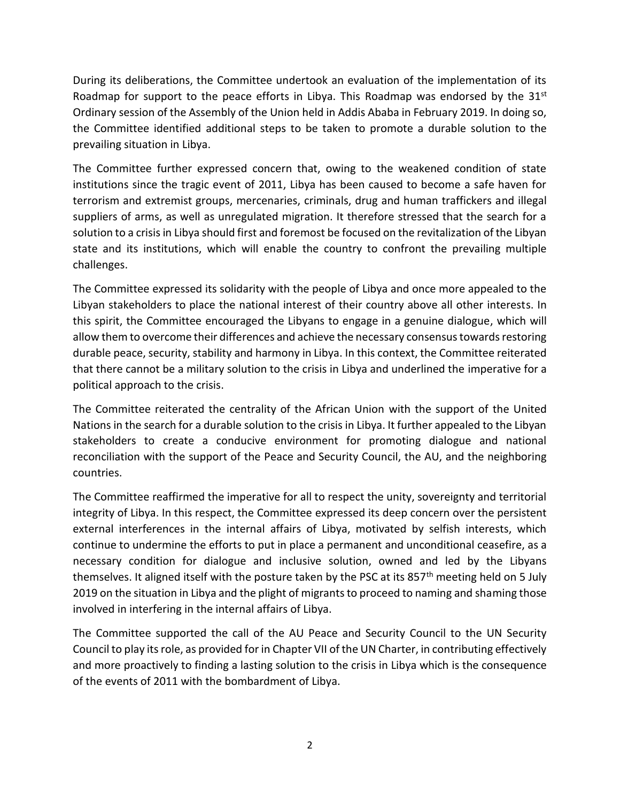During its deliberations, the Committee undertook an evaluation of the implementation of its Roadmap for support to the peace efforts in Libya. This Roadmap was endorsed by the  $31<sup>st</sup>$ Ordinary session of the Assembly of the Union held in Addis Ababa in February 2019. In doing so, the Committee identified additional steps to be taken to promote a durable solution to the prevailing situation in Libya.

The Committee further expressed concern that, owing to the weakened condition of state institutions since the tragic event of 2011, Libya has been caused to become a safe haven for terrorism and extremist groups, mercenaries, criminals, drug and human traffickers and illegal suppliers of arms, as well as unregulated migration. It therefore stressed that the search for a solution to a crisis in Libya should first and foremost be focused on the revitalization of the Libyan state and its institutions, which will enable the country to confront the prevailing multiple challenges.

The Committee expressed its solidarity with the people of Libya and once more appealed to the Libyan stakeholders to place the national interest of their country above all other interests. In this spirit, the Committee encouraged the Libyans to engage in a genuine dialogue, which will allow them to overcome their differences and achieve the necessary consensus towards restoring durable peace, security, stability and harmony in Libya. In this context, the Committee reiterated that there cannot be a military solution to the crisis in Libya and underlined the imperative for a political approach to the crisis.

The Committee reiterated the centrality of the African Union with the support of the United Nations in the search for a durable solution to the crisis in Libya. It further appealed to the Libyan stakeholders to create a conducive environment for promoting dialogue and national reconciliation with the support of the Peace and Security Council, the AU, and the neighboring countries.

The Committee reaffirmed the imperative for all to respect the unity, sovereignty and territorial integrity of Libya. In this respect, the Committee expressed its deep concern over the persistent external interferences in the internal affairs of Libya, motivated by selfish interests, which continue to undermine the efforts to put in place a permanent and unconditional ceasefire, as a necessary condition for dialogue and inclusive solution, owned and led by the Libyans themselves. It aligned itself with the posture taken by the PSC at its 857<sup>th</sup> meeting held on 5 July 2019 on the situation in Libya and the plight of migrants to proceed to naming and shaming those involved in interfering in the internal affairs of Libya.

The Committee supported the call of the AU Peace and Security Council to the UN Security Council to play its role, as provided for in Chapter VII of the UN Charter, in contributing effectively and more proactively to finding a lasting solution to the crisis in Libya which is the consequence of the events of 2011 with the bombardment of Libya.